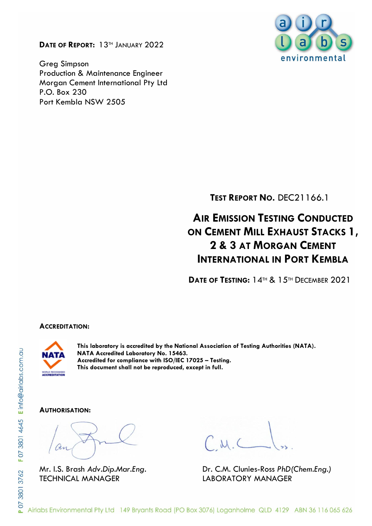**DATE OF REPORT:** 13TH JANUARY 2022

Greg Simpson Production & Maintenance Engineer Morgan Cement International Pty Ltd P.O. Box 230 Port Kembla NSW 2505



**TEST REPORT NO.** DEC21166.1

# **AIR EMISSION TESTING CONDUCTED ON CEMENT MILL EXHAUST STACKS 1, 2 & 3 AT MORGAN CEMENT INTERNATIONAL IN PORT KEMBLA**

**DATE OF TESTING:** 14TH & 15TH DECEMBER 2021

#### **ACCREDITATION:**



**This laboratory is accredited by the National Association of Testing Authorities (NATA). NATA Accredited Laboratory No. 15463. Accredited for compliance with ISO/IEC 17025 – Testing. This document shall not be reproduced, except in full.**

#### **AUTHORISATION:**

TECHNICAL MANAGER LABORATORY MANAGER

Mr. I.S. Brash *Adv.Dip.Mar.Eng.* Dr. C.M. Clunies-Ross *PhD(Chem.Eng.)*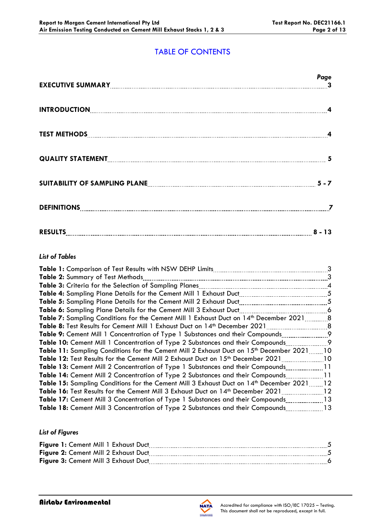# TABLE OF CONTENTS

|                                                                                                                       | Page |
|-----------------------------------------------------------------------------------------------------------------------|------|
|                                                                                                                       |      |
|                                                                                                                       |      |
|                                                                                                                       |      |
| SUITABILITY OF SAMPLING PLANE <b>[19] THE CONSUMING PLANE</b> 2011 2012 12:00 FLANE 2012 12:00 FLANE 2012 12:00 FLANE |      |
|                                                                                                                       |      |
| RESULTS 2 - 13                                                                                                        |      |

#### *List of Tables*

|                                                                                                    | 3    |
|----------------------------------------------------------------------------------------------------|------|
| Table 2: Summary of Test Methods                                                                   | 3    |
|                                                                                                    |      |
|                                                                                                    |      |
|                                                                                                    |      |
| Table 6: Sampling Plane Details for the Cement Mill 3 Exhaust Duct                                 |      |
| Table 7: Sampling Conditions for the Cement Mill 1 Exhaust Duct on 14 <sup>th</sup> December 20218 |      |
|                                                                                                    |      |
|                                                                                                    |      |
| <b>Table 10:</b> Cement Mill 1 Concentration of Type 2 Substances and their Compounds              | . 9  |
| Table 11: Sampling Conditions for the Cement Mill 2 Exhaust Duct on 15th December 202110           |      |
| <b>Table 12:</b> Test Results for the Cement Mill 2 Exhaust Duct on 15 <sup>th</sup> December 2021 | 10   |
| <b>Table 13:</b> Cement Mill 2 Concentration of Type 1 Substances and their Compounds11            |      |
| <b>Table 14:</b> Cement Mill 2 Concentration of Type 2 Substances and their Compounds              | . 11 |
| Table 15: Sampling Conditions for the Cement Mill 3 Exhaust Duct on 14th December 202112           |      |
| Table 16: Test Results for the Cement Mill 3 Exhaust Duct on 14th December 2021                    | 12   |
| Table 17: Cement Mill 3 Concentration of Type 1 Substances and their Compounds13                   |      |
| Table 18: Cement Mill 3 Concentration of Type 2 Substances and their Compounds13                   |      |
|                                                                                                    |      |

#### *List of Figures*

| Figure 1: Cement Mill 1 Exhaust Duct |  |
|--------------------------------------|--|
| Figure 2: Cement Mill 2 Exhaust Duct |  |
| Figure 3: Cement Mill 3 Exhaust Duct |  |
|                                      |  |

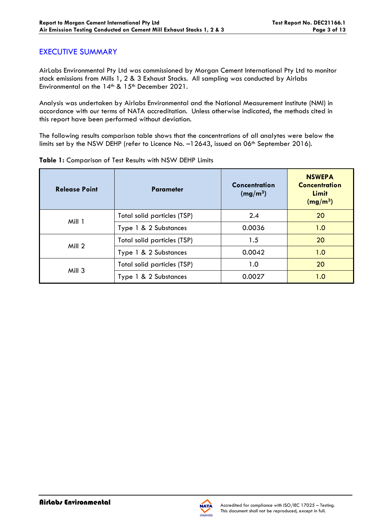### EXECUTIVE SUMMARY

AirLabs Environmental Pty Ltd was commissioned by Morgan Cement International Pty Ltd to monitor stack emissions from Mills 1, 2 & 3 Exhaust Stacks. All sampling was conducted by Airlabs Environmental on the 14<sup>th</sup> & 15<sup>th</sup> December 2021.

Analysis was undertaken by Airlabs Environmental and the National Measurement Institute (NMI) in accordance with our terms of NATA accreditation. Unless otherwise indicated, the methods cited in this report have been performed without deviation.

The following results comparison table shows that the concentrations of all analytes were below the limits set by the NSW DEHP (refer to Licence No. -12643, issued on 06<sup>th</sup> September 2016).

| <b>Release Point</b> | <b>Parameter</b>            | <b>Concentration</b><br>(mg/m <sup>3</sup> ) | <b>NSWEPA</b><br><b>Concentration</b><br>Limit<br>(mg/m <sup>3</sup> ) |
|----------------------|-----------------------------|----------------------------------------------|------------------------------------------------------------------------|
| Mill 1               | Total solid particles (TSP) | 2.4                                          | 20                                                                     |
|                      | Type 1 & 2 Substances       | 0.0036                                       | 1.0                                                                    |
| Mill 2               | Total solid particles (TSP) | 1.5                                          | 20                                                                     |
|                      | Type 1 & 2 Substances       | 0.0042                                       | 1.0                                                                    |
| Mill 3               | Total solid particles (TSP) | 1.0                                          | 20                                                                     |
|                      | Type 1 & 2 Substances       | 0.0027                                       | 1.0                                                                    |

**Table 1:** Comparison of Test Results with NSW DEHP Limits

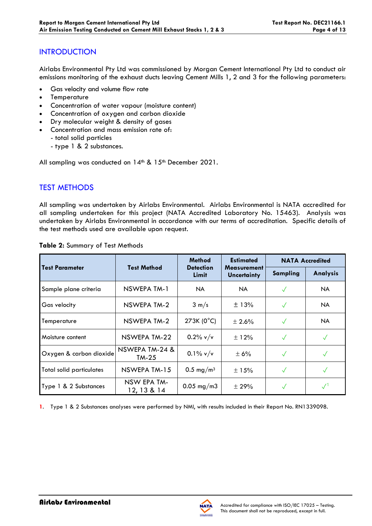### **INTRODUCTION**

Airlabs Environmental Pty Ltd was commissioned by Morgan Cement International Pty Ltd to conduct air emissions monitoring of the exhaust ducts leaving Cement Mills 1, 2 and 3 for the following parameters:

- Gas velocity and volume flow rate
- **Temperature**
- Concentration of water vapour (moisture content)
- Concentration of oxygen and carbon dioxide
- Dry molecular weight & density of gases
- Concentration and mass emission rate of:
	- total solid particles
		- type 1 & 2 substances.

All sampling was conducted on  $14<sup>th</sup>$  &  $15<sup>th</sup>$  December 2021.

# TEST METHODS

All sampling was undertaken by Airlabs Environmental. Airlabs Environmental is NATA accredited for all sampling undertaken for this project (NATA Accredited Laboratory No. 15463). Analysis was undertaken by Airlabs Environmental in accordance with our terms of accreditation. Specific details of the test methods used are available upon request.

|                                 |                            | <b>Method</b>             | <b>Estimated</b>                         | <b>NATA Accredited</b> |                 |
|---------------------------------|----------------------------|---------------------------|------------------------------------------|------------------------|-----------------|
| <b>Test Parameter</b>           | <b>Test Method</b>         | <b>Detection</b><br>Limit | <b>Measurement</b><br><b>Uncertainty</b> | Sampling               | <b>Analysis</b> |
| Sample plane criteria           | NSWEPA TM-1                | NA.                       | NA.                                      | $\checkmark$           | <b>NA</b>       |
| Gas velocity                    | NSWEPA TM-2                | $3 \text{ m/s}$           | ±13%                                     | $\checkmark$           | <b>NA</b>       |
| Temperature                     | NSWEPA TM-2                | 273K (0°C)                | $\pm 2.6\%$                              | $\sqrt{}$              | <b>NA</b>       |
| Moisture content                | NSWEPA TM-22               | $0.2\%$ v/v               | ±12%                                     | $\checkmark$           | $\checkmark$    |
| Oxygen & carbon dioxide         | NSWEPA TM-24 &<br>$TM-25$  | $0.1\%$ v/v               | ± 6%                                     | $\checkmark$           |                 |
| <b>Total solid particulates</b> | NSWEPA TM-15               | 0.5 mg/m <sup>3</sup>     | $\pm$ 15%                                | $\checkmark$           |                 |
| Type 1 & 2 Substances           | NSW EPA TM-<br>12, 13 & 14 | $0.05$ mg/m3              | $\pm 29\%$                               |                        |                 |

**Table 2:** Summary of Test Methods

**1**. Type 1 & 2 Substances analyses were performed by NMI, with results included in their Report No. RN1339098.

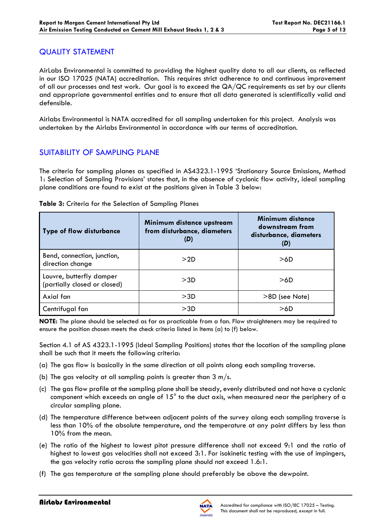### QUALITY STATEMENT

AirLabs Environmental is committed to providing the highest quality data to all our clients, as reflected in our ISO 17025 (NATA) accreditation. This requires strict adherence to and continuous improvement of all our processes and test work. Our goal is to exceed the QA/QC requirements as set by our clients and appropriate governmental entities and to ensure that all data generated is scientifically valid and defensible.

Airlabs Environmental is NATA accredited for all sampling undertaken for this project. Analysis was undertaken by the Airlabs Environmental in accordance with our terms of accreditation.

### SUITABILITY OF SAMPLING PLANE

The criteria for sampling planes as specified in AS4323.1-1995 'Stationary Source Emissions, Method 1: Selection of Sampling Provisions' states that, in the absence of cyclonic flow activity, ideal sampling plane conditions are found to exist at the positions given in Table 3 below:

| <b>Type of flow disturbance</b>                          | Minimum distance upstream<br>from disturbance, diameters<br>(D) | Minimum distance<br>downstream from<br>disturbance, diameters<br>(D) |
|----------------------------------------------------------|-----------------------------------------------------------------|----------------------------------------------------------------------|
| Bend, connection, junction,<br>direction change          | >2D                                                             | >6D                                                                  |
| Louvre, butterfly damper<br>(partially closed or closed) | >3D                                                             | >6D                                                                  |
| Axial fan                                                | >3D                                                             | >8D (see Note)                                                       |
| Centrifugal fan                                          | >3D                                                             | >6D                                                                  |

#### **Table 3:** Criteria for the Selection of Sampling Planes

**NOTE:** The plane should be selected as far as practicable from a fan. Flow straighteners may be required to ensure the position chosen meets the check criteria listed in Items (a) to (f) below.

Section 4.1 of AS 4323.1-1995 (Ideal Sampling Positions) states that the location of the sampling plane shall be such that it meets the following criteria:

- (a) The gas flow is basically in the same direction at all points along each sampling traverse.
- (b) The gas velocity at all sampling points is greater than  $3 \text{ m/s}$ .
- (c) The gas flow profile at the sampling plane shall be steady, evenly distributed and not have a cyclonic component which exceeds an angle of 15° to the duct axis, when measured near the periphery of a circular sampling plane.
- (d) The temperature difference between adjacent points of the survey along each sampling traverse is less than 10% of the absolute temperature, and the temperature at any point differs by less than 10% from the mean.
- (e) The ratio of the highest to lowest pitot pressure difference shall not exceed 9:1 and the ratio of highest to lowest gas velocities shall not exceed 3:1. For isokinetic testing with the use of impingers, the gas velocity ratio across the sampling plane should not exceed 1.6:1.
- (f) The gas temperature at the sampling plane should preferably be above the dewpoint.

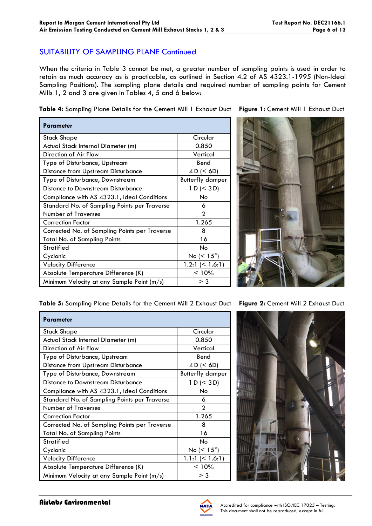### SUITABILITY OF SAMPLING PLANE Continued

When the criteria in Table 3 cannot be met, a greater number of sampling points is used in order to retain as much accuracy as is practicable, as outlined in Section 4.2 of AS 4323.1-1995 (Non-Ideal Sampling Positions). The sampling plane details and required number of sampling points for Cement Mills 1, 2 and 3 are given in Tables 4, 5 and 6 below:

**Table 4:** Sampling Plane Details for the Cement Mill 1 Exhaust Duct **Figure 1:** Cement Mill 1 Exhaust Duct

| Parameter                                     |                          |
|-----------------------------------------------|--------------------------|
| Stack Shape                                   | Circular                 |
| Actual Stack Internal Diameter (m)            | 0.850                    |
| Direction of Air Flow                         | Vertical                 |
| Type of Disturbance, Upstream                 | Bend                     |
| <b>Distance from Upstream Disturbance</b>     | 4 D (< 6D)               |
| Type of Disturbance, Downstream               | <b>Butterfly damper</b>  |
| Distance to Downstream Disturbance            | 1 D (< 3 D)              |
| Compliance with AS 4323.1, Ideal Conditions   | No                       |
| Standard No. of Sampling Points per Traverse  | 6                        |
| <b>Number of Traverses</b>                    | $\mathfrak{p}$           |
| <b>Correction Factor</b>                      | 1.265                    |
| Corrected No. of Sampling Points per Traverse | 8                        |
| Total No. of Sampling Points                  | 16                       |
| Stratified                                    | No                       |
| Cyclonic                                      | No ( $\leq 15^{\circ}$ ) |
| <b>Velocity Difference</b>                    | 1.2:1 $(< 1.6:1)$        |
| Absolute Temperature Difference (K)           | < 10%                    |
| Minimum Velocity at any Sample Point (m/s)    | > 3                      |



**Table 5:** Sampling Plane Details for the Cement Mill 2 Exhaust Duct **Figure 2:** Cement Mill 2 Exhaust Duct

| <b>Parameter</b>                              |                         |
|-----------------------------------------------|-------------------------|
| <b>Stack Shape</b>                            | Circular                |
| Actual Stack Internal Diameter (m)            | 0.850                   |
| Direction of Air Flow                         | Vertical                |
| Type of Disturbance, Upstream                 | Bend                    |
| <b>Distance from Upstream Disturbance</b>     | 4 D (< 6D)              |
| Type of Disturbance, Downstream               | <b>Butterfly damper</b> |
| <b>Distance to Downstream Disturbance</b>     | 1 D (< 3 D)             |
| Compliance with AS 4323.1, Ideal Conditions   | No.                     |
| Standard No. of Sampling Points per Traverse  | 6                       |
| <b>Number of Traverses</b>                    | っ                       |
| <b>Correction Factor</b>                      | 1.265                   |
| Corrected No. of Sampling Points per Traverse | 8                       |
| <b>Total No. of Sampling Points</b>           | 16                      |
| <b>Stratified</b>                             | No                      |
| Cyclonic                                      | No $(< 15^{\circ})$     |
| <b>Velocity Difference</b>                    | $1.1:1 \leq 1.6:1$      |
| Absolute Temperature Difference (K)           | < 10%                   |
| Minimum Velocity at any Sample Point (m/s)    | $>$ 3                   |



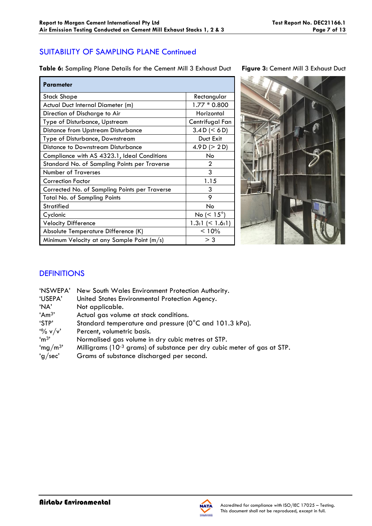# SUITABILITY OF SAMPLING PLANE Continued

**Table 6:** Sampling Plane Details for the Cement Mill 3 Exhaust Duct **Figure 3:** Cement Mill 3 Exhaust Duct

| Parameter                                     |                       |
|-----------------------------------------------|-----------------------|
| <b>Stack Shape</b>                            | Rectangular           |
| Actual Duct Internal Diameter (m)             | $1.77 * 0.800$        |
| Direction of Discharge to Air                 | Horizontal            |
| Type of Disturbance, Upstream                 | Centrifugal Fan       |
| <b>Distance from Upstream Disturbance</b>     | 3.4 D (< 6 D)         |
| Type of Disturbance, Downstream               | Duct Exit             |
| Distance to Downstream Disturbance            | 4.9 D ( $>$ 2 D)      |
| Compliance with AS 4323.1, Ideal Conditions   | No                    |
| Standard No. of Sampling Points per Traverse  | 2                     |
| <b>Number of Traverses</b>                    | 3                     |
| Correction Factor                             | 1.15                  |
| Corrected No. of Sampling Points per Traverse | 3                     |
| <b>Total No. of Sampling Points</b>           | 9                     |
| Stratified                                    | No                    |
| Cyclonic                                      | No ( $< 15^{\circ}$ ) |
| <b>Velocity Difference</b>                    | $1.3:1 \leq 1.6:1$    |
| Absolute Temperature Difference (K)           | < 10%                 |
| Minimum Velocity at any Sample Point (m/s)    | $>$ 3                 |



# **DEFINITIONS**

| 'NSWEPA'            | New South Wales Environment Protection Authority.                                   |
|---------------------|-------------------------------------------------------------------------------------|
| 'USEPA'             | United States Environmental Protection Agency.                                      |
| 'NA'                | Not applicable.                                                                     |
| 'Am <sup>3</sup> '  | Actual gas volume at stack conditions.                                              |
| 'STP'               | Standard temperature and pressure (0°C and 101.3 kPa).                              |
| $\frac{10}{6}$ v/v' | Percent, volumetric basis.                                                          |
| 'm <sup>3</sup>     | Normalised gas volume in dry cubic metres at STP.                                   |
| 'mg/m <sup>3'</sup> | Milligrams (10 <sup>-3</sup> grams) of substance per dry cubic meter of gas at STP. |
| 'g/sec'             | Grams of substance discharged per second.                                           |
|                     |                                                                                     |

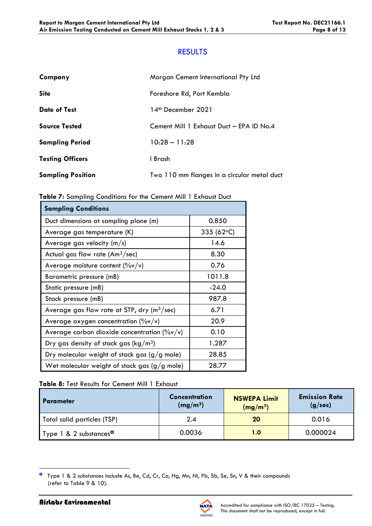### **RESULTS**

| Company                  | Morgan Cement International Pty Ltd         |
|--------------------------|---------------------------------------------|
| <b>Site</b>              | Foreshore Rd, Port Kembla                   |
| <b>Date of Test</b>      | 14 <sup>th</sup> December 2021              |
| <b>Source Tested</b>     | Cement Mill 1 Exhaust Duct - EPA ID No.4    |
| <b>Sampling Period</b>   | $10:28 - 11:28$                             |
| <b>Testing Officers</b>  | I Brash                                     |
| <b>Sampling Position</b> | Two 110 mm flanges in a circular metal duct |

| Table 7: Sampling Conditions for the Cement Mill 1 Exhaust Duct |  |
|-----------------------------------------------------------------|--|
|-----------------------------------------------------------------|--|

| <b>Sampling Conditions</b>                                |                    |
|-----------------------------------------------------------|--------------------|
| Duct dimensions at sampling plane (m)                     | 0.850              |
| Average gas temperature (K)                               | 335 (62 $\circ$ C) |
| Average gas velocity $(m/s)$                              | 14.6               |
| Actual gas flow rate $(Am3/sec)$                          | 8.30               |
| Average moisture content $(\%v/v)$                        | 0.76               |
| Barometric pressure (mB)                                  | 1011.8             |
| Static pressure (mB)                                      | $-24.0$            |
| Stack pressure (mB)                                       | 987.8              |
| Average gas flow rate at STP, dry ( $m^3$ /sec)           | 6.71               |
| Average oxygen concentration $(\%v/v)$                    | 20.9               |
| Average carbon dioxide concentration ( $\frac{9}{9}$ v/v) | 0.10               |
| Dry gas density of stack gas ( $\text{kg}/\text{m}^3$ )   | 1.287              |
| Dry molecular weight of stack gas (g/g mole)              | 28.85              |
| Wet molecular weight of stack gas $(g/g \text{ mole})$    | 28.77              |

#### **Table 8:** Test Results for Cement Mill 1 Exhaust

| I Parameter                        | Concentration<br>(mg/m <sup>3</sup> ) | <b>NSWEPA Limit</b><br>(mg/m <sup>3</sup> ) | <b>Emission Rate</b><br>(g/sec) |
|------------------------------------|---------------------------------------|---------------------------------------------|---------------------------------|
| Total solid particles (TSP)        | 2.4                                   | 20                                          | 0.016                           |
| Type 1 & 2 substances <sup>a</sup> | 0.0036                                | 1.0                                         | 0.000024                        |



**a** Type 1 & 2 substances include As, Be, Cd, Cr, Co, Hg, Mn, Ni, Pb, Sb, Se, Sn, V & their compounds (refer to Table 9 & 10).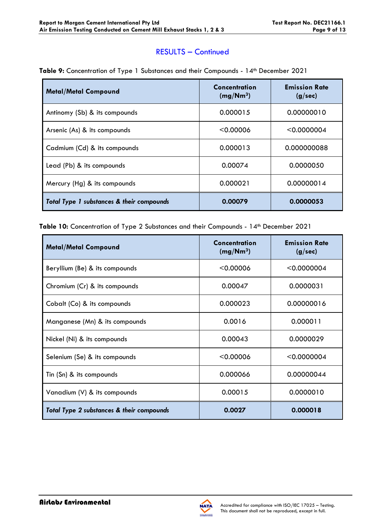### RESULTS – Continued

| <b>Metal/Metal Compound</b>               | Concentration<br>(mg/Nm <sup>3</sup> ) | <b>Emission Rate</b><br>(g/sec) |
|-------------------------------------------|----------------------------------------|---------------------------------|
| Antinomy (Sb) & its compounds             | 0.000015                               | 0.00000010                      |
| Arsenic (As) & its compounds              | < 0.00006                              | < 0.0000004                     |
| Cadmium (Cd) & its compounds              | 0.000013                               | 0.000000088                     |
| Lead (Pb) & its compounds                 | 0.00074                                | 0.0000050                       |
| Mercury (Hg) & its compounds              | 0.000021                               | 0.00000014                      |
| Total Type 1 substances & their compounds | 0.00079                                | 0.0000053                       |

Table 10: Concentration of Type 2 Substances and their Compounds - 14<sup>th</sup> December 2021

| <b>Metal/Metal Compound</b>               | Concentration<br>(mg/Nm <sup>3</sup> ) | <b>Emission Rate</b><br>(g/sec) |
|-------------------------------------------|----------------------------------------|---------------------------------|
| Beryllium (Be) & its compounds            | < 0.00006                              | < 0.0000004                     |
| Chromium (Cr) & its compounds             | 0.00047                                | 0.0000031                       |
| Cobalt (Co) & its compounds               | 0.000023                               | 0.00000016                      |
| Manganese (Mn) & its compounds            | 0.0016                                 | 0.000011                        |
| Nickel (Ni) & its compounds               | 0.00043                                | 0.0000029                       |
| Selenium (Se) & its compounds             | < 0.00006                              | < 0.0000004                     |
| Tin (Sn) & its compounds                  | 0.000066                               | 0.00000044                      |
| Vanadium (V) & its compounds              | 0.00015                                | 0.0000010                       |
| Total Type 2 substances & their compounds | 0.0027                                 | 0.000018                        |

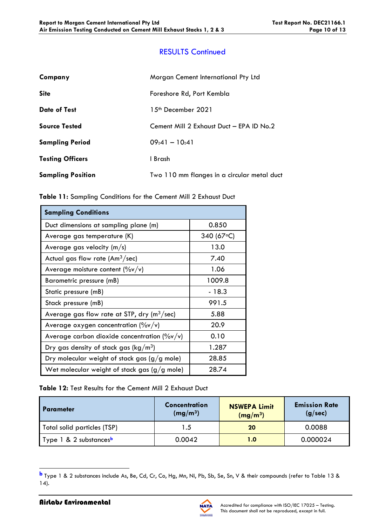# RESULTS Continued

| Company                  | Morgan Cement International Pty Ltd         |
|--------------------------|---------------------------------------------|
| <b>Site</b>              | Foreshore Rd, Port Kembla                   |
| <b>Date of Test</b>      | 1.5 <sup>th</sup> December 2021             |
| <b>Source Tested</b>     | Cement Mill 2 Exhaust Duct - EPA ID No.2    |
| <b>Sampling Period</b>   | $09:41 - 10:41$                             |
| <b>Testing Officers</b>  | I Brash                                     |
| <b>Sampling Position</b> | Two 110 mm flanges in a circular metal duct |

| Table 11: Sampling Conditions for the Cement Mill 2 Exhaust Duct |  |
|------------------------------------------------------------------|--|
|------------------------------------------------------------------|--|

| <b>Sampling Conditions</b>                              |             |
|---------------------------------------------------------|-------------|
| Duct dimensions at sampling plane (m)                   | 0.850       |
| Average gas temperature (K)                             | 340 (67 °C) |
| Average gas velocity $(m/s)$                            | 13.0        |
| Actual gas flow rate $(Am3/sec)$                        | 7.40        |
| Average moisture content $(\%v/v)$                      | 1.06        |
| Barometric pressure (mB)                                | 1009.8      |
| Static pressure (mB)                                    | $-18.3$     |
| Stack pressure (mB)                                     | 991.5       |
| Average gas flow rate at STP, dry ( $m^3$ /sec)         | 5.88        |
| Average oxygen concentration $(\%v/v)$                  | 20.9        |
| Average carbon dioxide concentration $(\frac{9}{9}v/v)$ | 0.10        |
| Dry gas density of stack gas ( $\text{kg}/\text{m}^3$ ) | 1.287       |
| Dry molecular weight of stack gas $(g/g$ mole)          | 28.85       |
| Wet molecular weight of stack gas $(g/g$ mole)          | 28.74       |

**Table 12:** Test Results for the Cement Mill 2 Exhaust Duct

| <b>Parameter</b>                   | Concentration<br>(mg/m <sup>3</sup> ) | <b>NSWEPA Limit</b><br>(mg/m <sup>3</sup> ) | <b>Emission Rate</b><br>(g/sec) |
|------------------------------------|---------------------------------------|---------------------------------------------|---------------------------------|
| Total solid particles (TSP)        | 1.5                                   | 20                                          | 0.0088                          |
| Type 1 & 2 substances <sup>b</sup> | 0.0042                                | 1.0                                         | 0.000024                        |

**b** Type 1 & 2 substances include As, Be, Cd, Cr, Co, Hg, Mn, Ni, Pb, Sb, Se, Sn, V & their compounds (refer to Table 13 & 14).

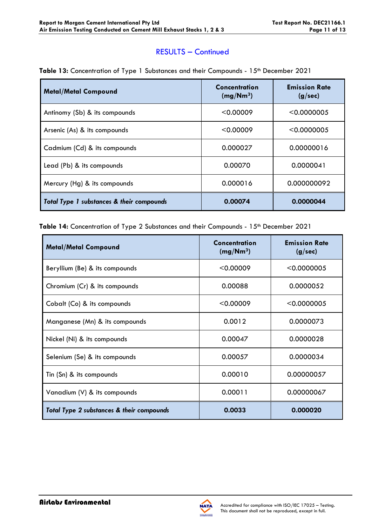### RESULTS – Continued

| <b>Metal/Metal Compound</b>               | Concentration<br>(mg/Nm <sup>3</sup> ) | <b>Emission Rate</b><br>(g/sec) |
|-------------------------------------------|----------------------------------------|---------------------------------|
| Antinomy (Sb) & its compounds             | < 0.00009                              | < 0.0000005                     |
| Arsenic (As) & its compounds              | < 0.00009                              | < 0.0000005                     |
| Cadmium (Cd) & its compounds              | 0.000027                               | 0.00000016                      |
| Lead (Pb) & its compounds                 | 0.00070                                | 0.0000041                       |
| Mercury (Hg) & its compounds              | 0.000016                               | 0.000000092                     |
| Total Type 1 substances & their compounds | 0.00074                                | 0.0000044                       |

#### Table 13: Concentration of Type 1 Substances and their Compounds - 15<sup>th</sup> December 2021

Table 14: Concentration of Type 2 Substances and their Compounds - 15<sup>th</sup> December 2021

| <b>Metal/Metal Compound</b>               | Concentration<br>(mg/Nm <sup>3</sup> ) | <b>Emission Rate</b><br>(g/sec) |
|-------------------------------------------|----------------------------------------|---------------------------------|
| Beryllium (Be) & its compounds            | < 0.00009                              | < 0.0000005                     |
| Chromium (Cr) & its compounds             | 0.00088                                | 0.0000052                       |
| Cobalt (Co) & its compounds               | < 0.00009                              | < 0.0000005                     |
| Manganese (Mn) & its compounds            | 0.0012                                 | 0.0000073                       |
| Nickel (Ni) & its compounds               | 0.00047                                | 0.0000028                       |
| Selenium (Se) & its compounds             | 0.00057                                | 0.0000034                       |
| Tin (Sn) & its compounds                  | 0.00010                                | 0.00000057                      |
| Vanadium (V) & its compounds              | 0.00011                                | 0.00000067                      |
| Total Type 2 substances & their compounds | 0.0033                                 | 0.000020                        |

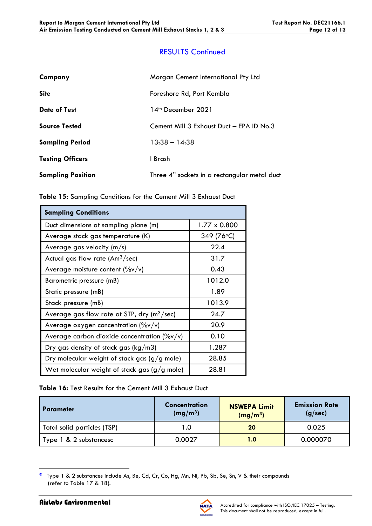# RESULTS Continued

| Company                  | Morgan Cement International Pty Ltd          |
|--------------------------|----------------------------------------------|
| <b>Site</b>              | Foreshore Rd, Port Kembla                    |
| <b>Date of Test</b>      | 14 <sup>th</sup> December 2021               |
| <b>Source Tested</b>     | Cement Mill 3 Exhaust Duct - EPA ID No.3     |
| <b>Sampling Period</b>   | $13.38 - 14.38$                              |
| <b>Testing Officers</b>  | I Brash                                      |
| <b>Sampling Position</b> | Three 4" sockets in a rectangular metal duct |

| <b>Sampling Conditions</b>                                |              |  |  |
|-----------------------------------------------------------|--------------|--|--|
| Duct dimensions at sampling plane (m)                     | 1.77 x 0.800 |  |  |
| Average stack gas temperature (K)                         | 349 (76°C)   |  |  |
| Average gas velocity (m/s)                                | 22.4         |  |  |
| Actual gas flow rate $(Am3/sec)$                          | 31.7         |  |  |
| Average moisture content $(\%v/v)$                        | 0.43         |  |  |
| Barometric pressure (mB)                                  | 1012.0       |  |  |
| Static pressure (mB)                                      | 1.89         |  |  |
| Stack pressure (mB)                                       | 1013.9       |  |  |
| Average gas flow rate at STP, dry $(m^3/sec)$             | 24.7         |  |  |
| Average oxygen concentration $(\%v/v)$                    | 20.9         |  |  |
| Average carbon dioxide concentration ( $\frac{9}{9}$ v/v) | 0.10         |  |  |
| Dry gas density of stack gas ( $kg/m3$ )                  | 1.287        |  |  |
| Dry molecular weight of stack gas $(g/g$ mole)            | 28.85        |  |  |
| Wet molecular weight of stack gas $(g/g$ mole)            | 28.81        |  |  |

#### **Table 16:** Test Results for the Cement Mill 3 Exhaust Duct

| I Parameter                 | <b>Concentration</b><br>(mg/m <sup>3</sup> ) | <b>NSWEPA Limit</b><br>(mg/m <sup>3</sup> ) | <b>Emission Rate</b><br>(g/sec) |
|-----------------------------|----------------------------------------------|---------------------------------------------|---------------------------------|
| Total solid particles (TSP) | 1.O                                          | 20                                          | 0.025                           |
| Type 1 & 2 substancesc      | 0.0027                                       | 1.0                                         | 0.000070                        |

**c** Type 1 & 2 substances include As, Be, Cd, Cr, Co, Hg, Mn, Ni, Pb, Sb, Se, Sn, V & their compounds (refer to Table 17 & 18).